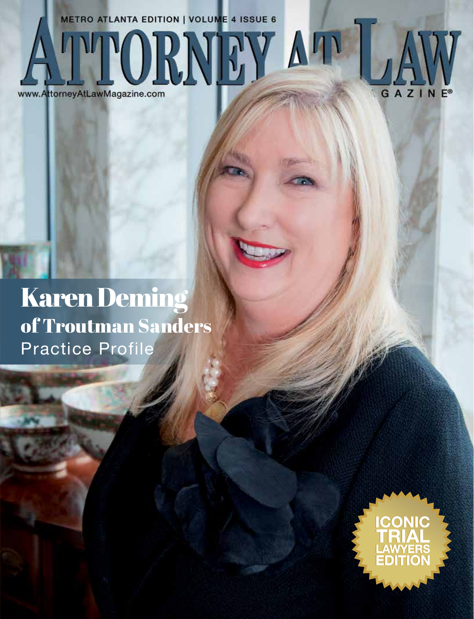**METRO ATLANTA EDITION | VOLUME 4 ISSUE 6** ATTORNEY AT LA



## Karen Deming of Troutman Sanders Practice Profile

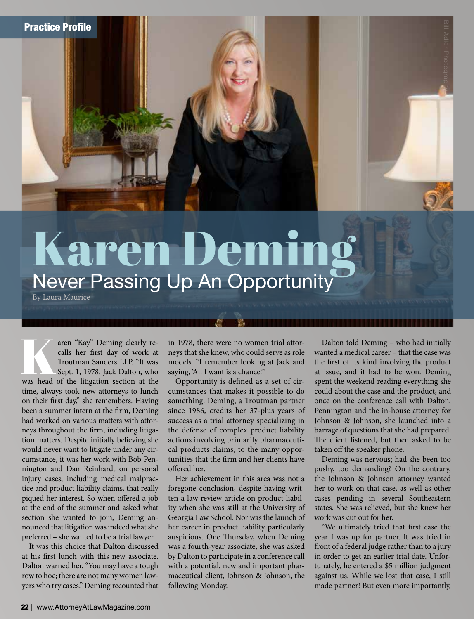

# Karen Deming

By Laura Maurice

The aren "Kay" Deming clearly re-<br>
calls her first day of work at<br>
Troutman Sanders LLP. "It was<br>
Sept. 1, 1978. Jack Dalton, who<br>
was head of the litigation section at the calls her first day of work at Troutman Sanders LLP. "It was Sept. 1, 1978. Jack Dalton, who time, always took new attorneys to lunch on their first day," she remembers. Having been a summer intern at the firm, Deming had worked on various matters with attorneys throughout the firm, including litigation matters. Despite initially believing she would never want to litigate under any circumstance, it was her work with Bob Pennington and Dan Reinhardt on personal injury cases, including medical malpractice and product liability claims, that really piqued her interest. So when offered a job at the end of the summer and asked what section she wanted to join, Deming announced that litigation was indeed what she preferred – she wanted to be a trial lawyer.

It was this choice that Dalton discussed at his first lunch with this new associate. Dalton warned her, "You may have a tough row to hoe; there are not many women lawyers who try cases." Deming recounted that

in 1978, there were no women trial attorneys that she knew, who could serve as role models. "I remember looking at Jack and saying, 'All I want is a chance."

Opportunity is defined as a set of circumstances that makes it possible to do something. Deming, a Troutman partner since 1986, credits her 37-plus years of success as a trial attorney specializing in the defense of complex product liability actions involving primarily pharmaceutical products claims, to the many opportunities that the firm and her clients have offered her.

Her achievement in this area was not a foregone conclusion, despite having written a law review article on product liability when she was still at the University of Georgia Law School. Nor was the launch of her career in product liability particularly auspicious. One Thursday, when Deming was a fourth-year associate, she was asked by Dalton to participate in a conference call with a potential, new and important pharmaceutical client, Johnson & Johnson, the following Monday.

Dalton told Deming – who had initially wanted a medical career – that the case was the first of its kind involving the product at issue, and it had to be won. Deming spent the weekend reading everything she could about the case and the product, and once on the conference call with Dalton, Pennington and the in-house attorney for Johnson & Johnson, she launched into a barrage of questions that she had prepared. The client listened, but then asked to be taken off the speaker phone.

Deming was nervous; had she been too pushy, too demanding? On the contrary, the Johnson & Johnson attorney wanted her to work on that case, as well as other cases pending in several Southeastern states. She was relieved, but she knew her work was cut out for her.

"We ultimately tried that first case the year I was up for partner. It was tried in front of a federal judge rather than to a jury in order to get an earlier trial date. Unfortunately, he entered a \$5 million judgment against us. While we lost that case, I still made partner! But even more importantly,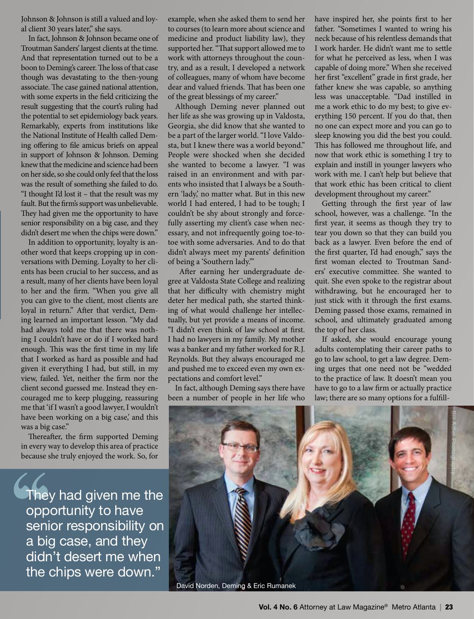Johnson & Johnson is still a valued and loyal client 30 years later," she says.

In fact, Johnson & Johnson became one of Troutman Sanders' largest clients at the time. And that representation turned out to be a boon to Deming's career. The loss of that case though was devastating to the then-young associate. The case gained national attention, with some experts in the field criticizing the result suggesting that the court's ruling had the potential to set epidemiology back years. Remarkably, experts from institutions like the National Institute of Health called Deming offering to file amicus briefs on appeal in support of Johnson & Johnson. Deming knew that the medicine and science had been on her side, so she could only feel that the loss was the result of something she failed to do. "I thought I'd lost it – that the result was my fault. But the firm's support was unbelievable. They had given me the opportunity to have senior responsibility on a big case, and they didn't desert me when the chips were down."

In addition to opportunity, loyalty is another word that keeps cropping up in conversations with Deming. Loyalty to her clients has been crucial to her success, and as a result, many of her clients have been loyal to her and the firm. "When you give all you can give to the client, most clients are loyal in return." After that verdict, Deming learned an important lesson. "My dad had always told me that there was nothing I couldn't have or do if I worked hard enough. This was the first time in my life that I worked as hard as possible and had given it everything I had, but still, in my view, failed. Yet, neither the firm nor the client second guessed me. Instead they encouraged me to keep plugging, reassuring me that 'if I wasn't a good lawyer, I wouldn't have been working on a big case,' and this was a big case."

Thereafter, the firm supported Deming in every way to develop this area of practice because she truly enjoyed the work. So, for

They had given me the opportunity to have senior responsibility on a big case, and they didn't desert me when the chips were down."

example, when she asked them to send her to courses (to learn more about science and medicine and product liability law), they supported her. "That support allowed me to work with attorneys throughout the country, and as a result, I developed a network of colleagues, many of whom have become dear and valued friends. That has been one of the great blessings of my career."

Although Deming never planned out her life as she was growing up in Valdosta, Georgia, she did know that she wanted to be a part of the larger world. "I love Valdosta, but I knew there was a world beyond." People were shocked when she decided she wanted to become a lawyer. "I was raised in an environment and with parents who insisted that I always be a Southern 'lady,' no matter what. But in this new world I had entered, I had to be tough; I couldn't be shy about strongly and forcefully asserting my client's case when necessary, and not infrequently going toe-totoe with some adversaries. And to do that didn't always meet my parents' definition of being a 'Southern lady.'"

 After earning her undergraduate degree at Valdosta State College and realizing that her difficulty with chemistry might deter her medical path, she started thinking of what would challenge her intellectually, but yet provide a means of income. "I didn't even think of law school at first. I had no lawyers in my family. My mother was a banker and my father worked for R.J. Reynolds. But they always encouraged me and pushed me to exceed even my own expectations and comfort level."

In fact, although Deming says there have been a number of people in her life who have inspired her, she points first to her father. "Sometimes I wanted to wring his neck because of his relentless demands that I work harder. He didn't want me to settle for what he perceived as less, when I was capable of doing more." When she received her first "excellent" grade in first grade, her father knew she was capable, so anything less was unacceptable. "Dad instilled in me a work ethic to do my best; to give everything 150 percent. If you do that, then no one can expect more and you can go to sleep knowing you did the best you could. This has followed me throughout life, and now that work ethic is something I try to explain and instill in younger lawyers who work with me. I can't help but believe that that work ethic has been critical to client development throughout my career."

Getting through the first year of law school, however, was a challenge. "In the first year, it seems as though they try to tear you down so that they can build you back as a lawyer. Even before the end of the first quarter, I'd had enough," says the first woman elected to Troutman Sanders' executive committee. She wanted to quit. She even spoke to the registrar about withdrawing, but he encouraged her to just stick with it through the first exams. Deming passed those exams, remained in school, and ultimately graduated among the top of her class.

If asked, she would encourage young adults contemplating their career paths to go to law school, to get a law degree. Deming urges that one need not be "wedded to the practice of law. It doesn't mean you have to go to a law firm or actually practice law; there are so many options for a fulfill-